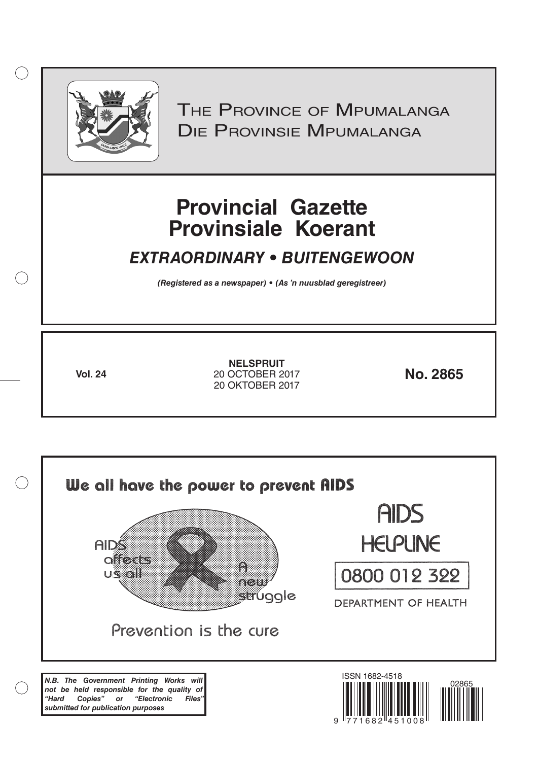

 $( )$ 

THE PROVINCE OF MPUMALANGA Die Provinsie Mpumalanga

# **Provincial Gazette Provinsiale Koerant**

# *EXTRAORDINARY • BUITENGEWOON*

*(Registered as a newspaper) • (As 'n nuusblad geregistreer)*

**Vol. 24 No. 2865** 20 OCTOBER 2017 **NELSPRUIT** 20 OKTOBER 2017

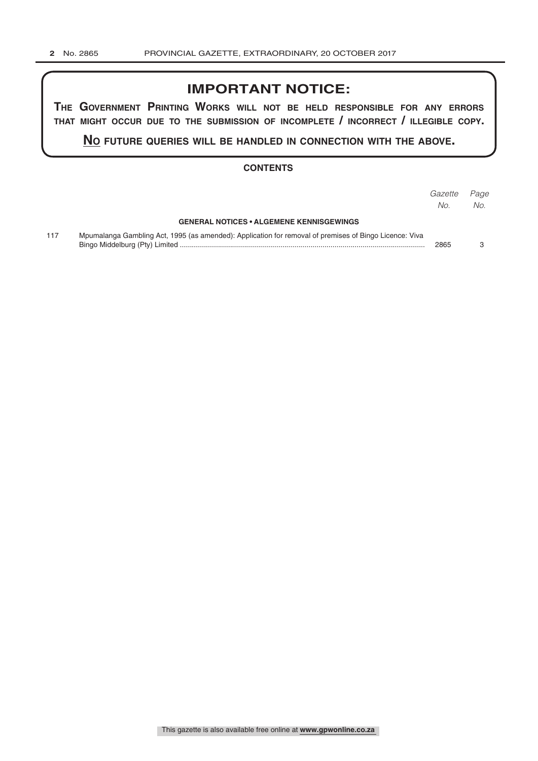# **IMPORTANT NOTICE:**

**The GovernmenT PrinTinG Works Will noT be held resPonsible for any errors ThaT miGhT occur due To The submission of incomPleTe / incorrecT / illeGible coPy.**

**no fuTure queries Will be handled in connecTion WiTh The above.**

#### **CONTENTS**

|     |                                                                                                        | Gazette | Page |
|-----|--------------------------------------------------------------------------------------------------------|---------|------|
|     |                                                                                                        | No.     | No.  |
|     | <b>GENERAL NOTICES • ALGEMENE KENNISGEWINGS</b>                                                        |         |      |
| 117 | Mpumalanga Gambling Act, 1995 (as amended): Application for removal of premises of Bingo Licence: Viva | 2865    |      |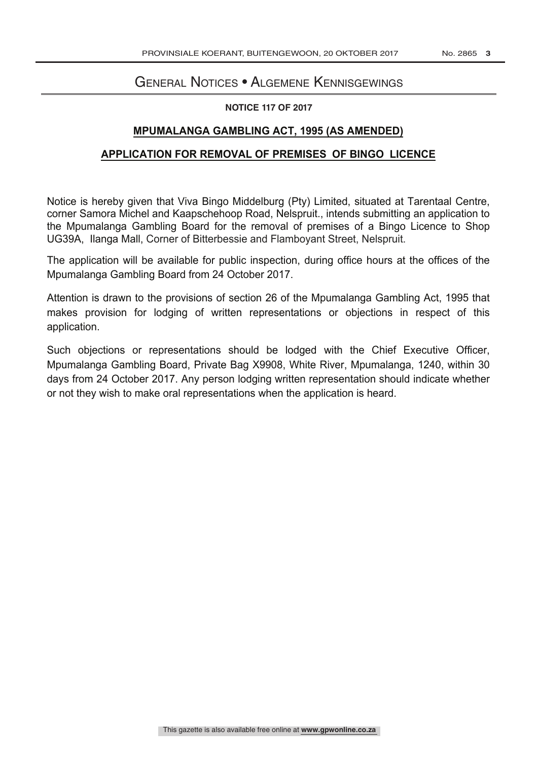# General Notices • Algemene Kennisgewings

#### **NOTICE 117 OF 2017**

## **MPUMALANGA GAMBLING ACT, 1995 (AS AMENDED)**

### **APPLICATION FOR REMOVAL OF PREMISES OF BINGO LICENCE**

Notice is hereby given that Viva Bingo Middelburg (Pty) Limited, situated at Tarentaal Centre, corner Samora Michel and Kaapschehoop Road, Nelspruit., intends submitting an application to the Mpumalanga Gambling Board for the removal of premises of a Bingo Licence to Shop UG39A, Ilanga Mall, Corner of Bitterbessie and Flamboyant Street, Nelspruit.

The application will be available for public inspection, during office hours at the offices of the Mpumalanga Gambling Board from 24 October 2017.

Attention is drawn to the provisions of section 26 of the Mpumalanga Gambling Act, 1995 that makes provision for lodging of written representations or objections in respect of this application.

Such objections or representations should be lodged with the Chief Executive Officer, Mpumalanga Gambling Board, Private Bag X9908, White River, Mpumalanga, 1240, within 30 days from 24 October 2017. Any person lodging written representation should indicate whether or not they wish to make oral representations when the application is heard.